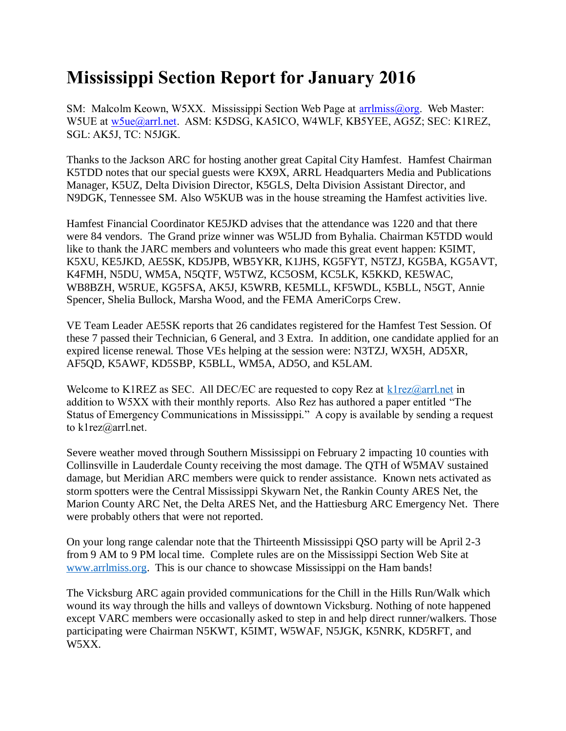## **Mississippi Section Report for January 2016**

SM: Malcolm Keown, W5XX. Mississippi Section Web Page at [arrlmiss@org.](mailto:arrlmiss@org) Web Master: W5UE at w<sub>5ue</sub>@arrl.net. ASM: K5DSG, KA5ICO, W4WLF, KB5YEE, AG5Z; SEC: K1REZ, SGL: AK5J, TC: N5JGK.

Thanks to the Jackson ARC for hosting another great Capital City Hamfest. Hamfest Chairman K5TDD notes that our special guests were KX9X, ARRL Headquarters Media and Publications Manager, K5UZ, Delta Division Director, K5GLS, Delta Division Assistant Director, and N9DGK, Tennessee SM. Also W5KUB was in the house streaming the Hamfest activities live.

Hamfest Financial Coordinator KE5JKD advises that the attendance was 1220 and that there were 84 vendors. The Grand prize winner was W5LJD from Byhalia. Chairman K5TDD would like to thank the JARC members and volunteers who made this great event happen: K5IMT, K5XU, KE5JKD, AE5SK, KD5JPB, WB5YKR, K1JHS, KG5FYT, N5TZJ, KG5BA, KG5AVT, K4FMH, N5DU, WM5A, N5QTF, W5TWZ, KC5OSM, KC5LK, K5KKD, KE5WAC, WB8BZH, W5RUE, KG5FSA, AK5J, K5WRB, KE5MLL, KF5WDL, K5BLL, N5GT, Annie Spencer, Shelia Bullock, Marsha Wood, and the FEMA AmeriCorps Crew.

VE Team Leader AE5SK reports that 26 candidates registered for the Hamfest Test Session. Of these 7 passed their Technician, 6 General, and 3 Extra. In addition, one candidate applied for an expired license renewal. Those VEs helping at the session were: N3TZJ, WX5H, AD5XR, AF5QD, K5AWF, KD5SBP, K5BLL, WM5A, AD5O, and K5LAM.

Welcome to K1REZ as SEC. All DEC/EC are requested to copy Rez at  $k1$ rez $@arrl$ .net in addition to W5XX with their monthly reports. Also Rez has authored a paper entitled "The Status of Emergency Communications in Mississippi." A copy is available by sending a request to k1rez@arrl.net.

Severe weather moved through Southern Mississippi on February 2 impacting 10 counties with Collinsville in Lauderdale County receiving the most damage. The QTH of W5MAV sustained damage, but Meridian ARC members were quick to render assistance. Known nets activated as storm spotters were the Central Mississippi Skywarn Net, the Rankin County ARES Net, the Marion County ARC Net, the Delta ARES Net, and the Hattiesburg ARC Emergency Net. There were probably others that were not reported.

On your long range calendar note that the Thirteenth Mississippi QSO party will be April 2-3 from 9 AM to 9 PM local time. Complete rules are on the Mississippi Section Web Site at [www.arrlmiss.org.](http://www.arrlmiss.org/) This is our chance to showcase Mississippi on the Ham bands!

The Vicksburg ARC again provided communications for the Chill in the Hills Run/Walk which wound its way through the hills and valleys of downtown Vicksburg. Nothing of note happened except VARC members were occasionally asked to step in and help direct runner/walkers. Those participating were Chairman N5KWT, K5IMT, W5WAF, N5JGK, K5NRK, KD5RFT, and W5XX.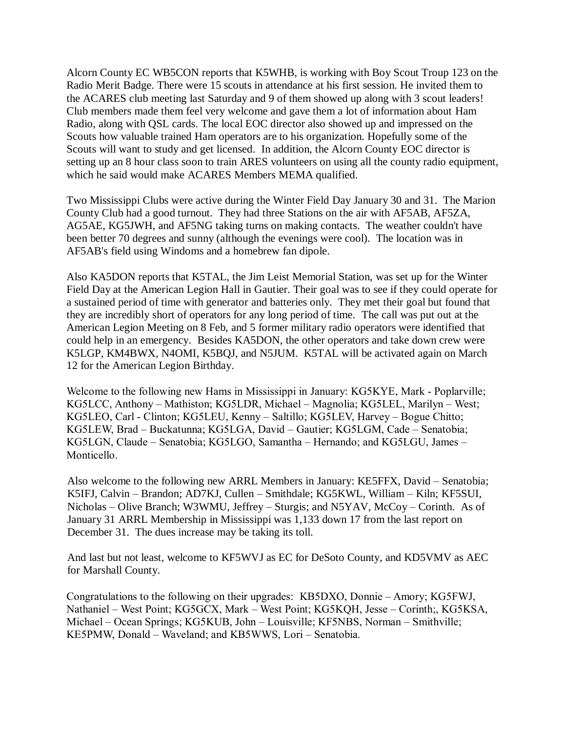Alcorn County EC WB5CON reports that K5WHB, is working with Boy Scout Troup 123 on the Radio Merit Badge. There were 15 scouts in attendance at his first session. He invited them to the ACARES club meeting last Saturday and 9 of them showed up along with 3 scout leaders! Club members made them feel very welcome and gave them a lot of information about Ham Radio, along with QSL cards. The local EOC director also showed up and impressed on the Scouts how valuable trained Ham operators are to his organization. Hopefully some of the Scouts will want to study and get licensed. In addition, the Alcorn County EOC director is setting up an 8 hour class soon to train ARES volunteers on using all the county radio equipment, which he said would make ACARES Members MEMA qualified.

Two Mississippi Clubs were active during the Winter Field Day January 30 and 31. The Marion County Club had a good turnout. They had three Stations on the air with AF5AB, AF5ZA, AG5AE, KG5JWH, and AF5NG taking turns on making contacts. The weather couldn't have been better 70 degrees and sunny (although the evenings were cool). The location was in AF5AB's field using Windoms and a homebrew fan dipole.

Also KA5DON reports that K5TAL, the Jim Leist Memorial Station, was set up for the Winter Field Day at the American Legion Hall in Gautier. Their goal was to see if they could operate for a sustained period of time with generator and batteries only. They met their goal but found that they are incredibly short of operators for any long period of time. The call was put out at the American Legion Meeting on 8 Feb, and 5 former military radio operators were identified that could help in an emergency. Besides KA5DON, the other operators and take down crew were K5LGP, KM4BWX, N4OMI, K5BQJ, and N5JUM. K5TAL will be activated again on March 12 for the American Legion Birthday.

Welcome to the following new Hams in Mississippi in January: KG5KYE, Mark - Poplarville; KG5LCC, Anthony – Mathiston; KG5LDR, Michael – Magnolia; KG5LEL, Marilyn – West; KG5LEO, Carl - Clinton; KG5LEU, Kenny – Saltillo; KG5LEV, Harvey – Bogue Chitto; KG5LEW, Brad – Buckatunna; KG5LGA, David – Gautier; KG5LGM, Cade – Senatobia; KG5LGN, Claude – Senatobia; KG5LGO, Samantha – Hernando; and KG5LGU, James – Monticello.

Also welcome to the following new ARRL Members in January: KE5FFX, David – Senatobia; K5IFJ, Calvin – Brandon; AD7KJ, Cullen – Smithdale; KG5KWL, William – Kiln; KF5SUI, Nicholas – Olive Branch; W3WMU, Jeffrey – Sturgis; and N5YAV, McCoy – Corinth. As of January 31 ARRL Membership in Mississippi was 1,133 down 17 from the last report on December 31. The dues increase may be taking its toll.

And last but not least, welcome to KF5WVJ as EC for DeSoto County, and KD5VMV as AEC for Marshall County.

Congratulations to the following on their upgrades: KB5DXO, Donnie – Amory; KG5FWJ, Nathaniel – West Point; KG5GCX, Mark – West Point; KG5KQH, Jesse – Corinth;, KG5KSA, Michael – Ocean Springs; KG5KUB, John – Louisville; KF5NBS, Norman – Smithville; KE5PMW, Donald – Waveland; and KB5WWS, Lori – Senatobia.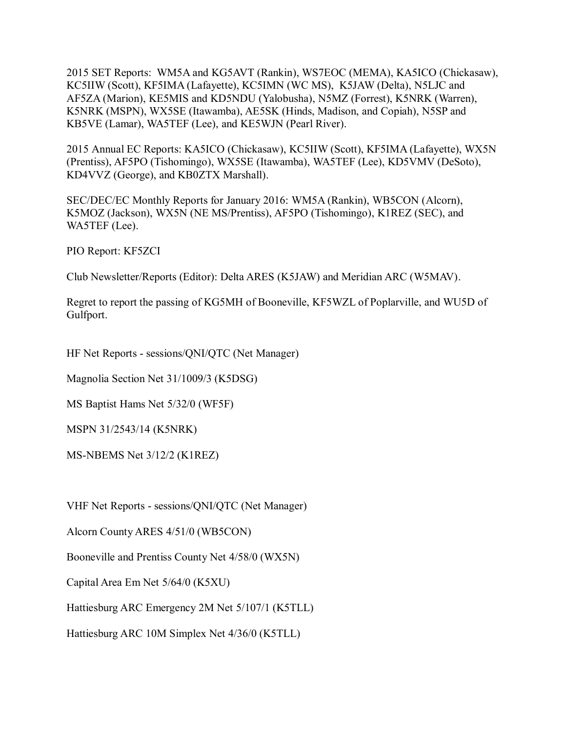2015 SET Reports: WM5A and KG5AVT (Rankin), WS7EOC (MEMA), KA5ICO (Chickasaw), KC5IIW (Scott), KF5IMA (Lafayette), KC5IMN (WC MS), K5JAW (Delta), N5LJC and AF5ZA (Marion), KE5MIS and KD5NDU (Yalobusha), N5MZ (Forrest), K5NRK (Warren), K5NRK (MSPN), WX5SE (Itawamba), AE5SK (Hinds, Madison, and Copiah), N5SP and KB5VE (Lamar), WA5TEF (Lee), and KE5WJN (Pearl River).

2015 Annual EC Reports: KA5ICO (Chickasaw), KC5IIW (Scott), KF5IMA (Lafayette), WX5N (Prentiss), AF5PO (Tishomingo), WX5SE (Itawamba), WA5TEF (Lee), KD5VMV (DeSoto), KD4VVZ (George), and KB0ZTX Marshall).

SEC/DEC/EC Monthly Reports for January 2016: WM5A (Rankin), WB5CON (Alcorn), K5MOZ (Jackson), WX5N (NE MS/Prentiss), AF5PO (Tishomingo), K1REZ (SEC), and WA5TEF (Lee).

PIO Report: KF5ZCI

Club Newsletter/Reports (Editor): Delta ARES (K5JAW) and Meridian ARC (W5MAV).

Regret to report the passing of KG5MH of Booneville, KF5WZL of Poplarville, and WU5D of Gulfport.

HF Net Reports - sessions/QNI/QTC (Net Manager)

Magnolia Section Net 31/1009/3 (K5DSG)

MS Baptist Hams Net 5/32/0 (WF5F)

MSPN 31/2543/14 (K5NRK)

MS-NBEMS Net 3/12/2 (K1REZ)

VHF Net Reports - sessions/QNI/QTC (Net Manager)

Alcorn County ARES 4/51/0 (WB5CON)

Booneville and Prentiss County Net 4/58/0 (WX5N)

Capital Area Em Net 5/64/0 (K5XU)

Hattiesburg ARC Emergency 2M Net 5/107/1 (K5TLL)

Hattiesburg ARC 10M Simplex Net 4/36/0 (K5TLL)